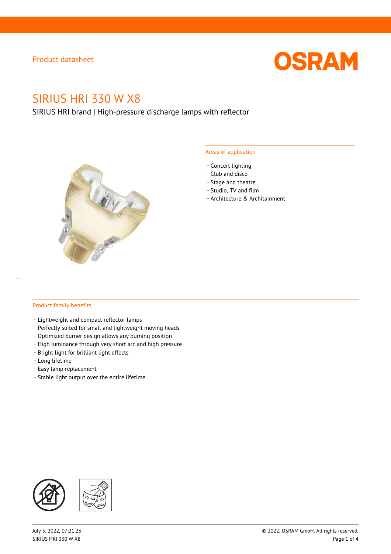

# SIRIUS HRI 330 W X8

SIRIUS HRI brand | High-pressure discharge lamps with reflector



#### Areas of application

- Concert lighting
- \_ Club and disco
- Stage and theatre
- \_ Studio, TV and film
- \_ Architecture & Architainment

### Product family benefits

- \_ Lightweight and compact reflector lamps
- \_ Perfectly suited for small and lightweight moving heads
- Optimized burner design allows any burning position
- High luminance through very short arc and high pressure
- \_ Bright light for brilliant light effects
- \_ Long lifetime
- \_ Easy lamp replacement
- \_ Stable light output over the entire lifetime

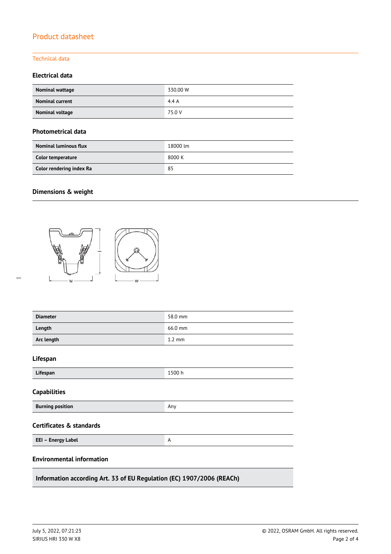### Technical data

### **Electrical data**

| Nominal wattage        | 330.00 W |
|------------------------|----------|
| <b>Nominal current</b> | 4.4A     |
| Nominal voltage        | 75.0 V   |

### **Photometrical data**

| <b>Nominal luminous flux</b> | 18000 lm |
|------------------------------|----------|
| Color temperature            | 8000 K   |
| Color rendering index Ra     | 85       |

## **Dimensions & weight**

 $\overline{a}$ 



| <b>Diameter</b>                                                       | 58.0 mm          |  |  |  |
|-----------------------------------------------------------------------|------------------|--|--|--|
| Length                                                                | 66.0 mm          |  |  |  |
| Arc length                                                            | $1.2 \text{ mm}$ |  |  |  |
| Lifespan                                                              |                  |  |  |  |
| Lifespan                                                              | 1500 h           |  |  |  |
| <b>Capabilities</b>                                                   |                  |  |  |  |
| <b>Burning position</b>                                               | Any              |  |  |  |
| Certificates & standards                                              |                  |  |  |  |
| EEI - Energy Label                                                    | A                |  |  |  |
| <b>Environmental information</b>                                      |                  |  |  |  |
| Information according Art. 33 of EU Regulation (EC) 1907/2006 (REACh) |                  |  |  |  |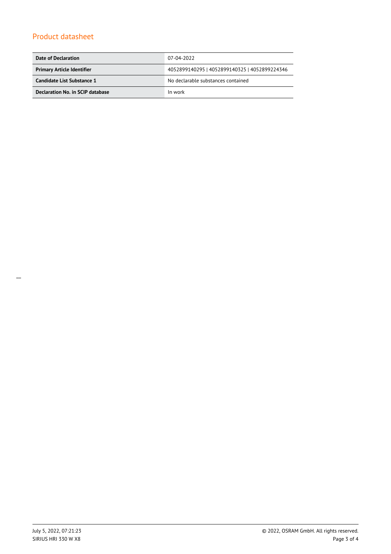| Date of Declaration               | 07-04-2022                                    |  |
|-----------------------------------|-----------------------------------------------|--|
| <b>Primary Article Identifier</b> | 4052899140295   4052899140325   4052899224346 |  |
| Candidate List Substance 1        | No declarable substances contained            |  |
| Declaration No. in SCIP database  | In work                                       |  |